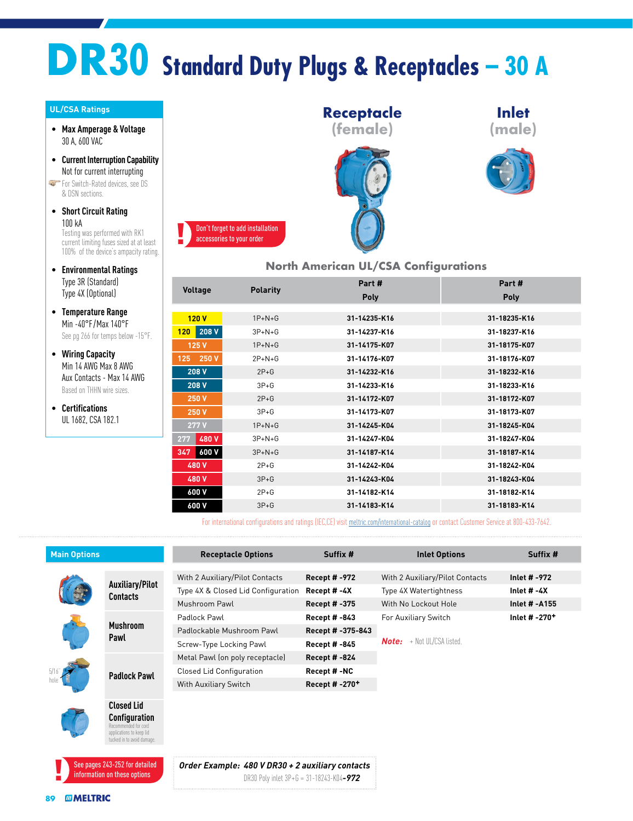## **DR30 Standard Duty Plugs & Receptacles – 30 A**

## **UL/CSA Ratings**

- **Max Amperage & Voltage** 30 A, 600 VAC
- **Current Interruption Capability** Not for current interrupting

For Switch-Rated devices, see DS & DSN sections.

• **Short Circuit Rating**  $100 kA$ 

Testing was performed with RK1 current limiting fuses sized at at least 100% of the device's ampacity rating.

- **Environmental Ratings** Type 3R (Standard) Type 4X (Optional)
- **Temperature Range** Min -40°F /Max 140°F See pg 266 for temps below -15°F.
- **Wiring Capacity** Min 14 AWG Max 8 AWG Aux Contacts - Max 14 AWG Based on THHN wire sizes.
- **Certifications** UL 1682, CSA 182.1



## **North American UL/CSA Configurations**

| <b>Polarity</b><br><b>Voltage</b><br>Poly<br><b>Poly</b>     |  |
|--------------------------------------------------------------|--|
|                                                              |  |
|                                                              |  |
| 120V<br>$1P+N+G$<br>31-14235-K16<br>31-18235-K16             |  |
| $120$ 208 V<br>$3P + N + G$<br>31-14237-K16<br>31-18237-K16  |  |
| 125 V<br>31-14175-K07<br>31-18175-K07<br>$1P+N+G$            |  |
| 125 250 V<br>$2P + N + G$<br>31-14176-K07<br>31-18176-K07    |  |
| 208 V<br>$2P+G$<br>31-18232-K16<br>31-14232-K16              |  |
| 208 V<br>$3P + G$<br>31-14233-K16<br>31-18233-K16            |  |
| $2P+G$<br>250 V<br>31-14172-K07<br>31-18172-K07              |  |
| 250 V<br>$3P+G$<br>31-18173-K07<br>31-14173-K07              |  |
| 277V<br>31-14245-K04<br>31-18245-K04<br>$1P+N+G$             |  |
| 480 V<br>277<br>$3P+N+G$<br>31-14247-K04<br>31-18247-K04     |  |
| 600 V<br>$3P + N + G$<br>31-14187-K14<br>31-18187-K14<br>347 |  |
| $2P+G$<br>31-14242-K04<br>31-18242-K04<br>480 V              |  |
| $3P+G$<br>31-14243-K04<br>31-18243-K04<br>480 V              |  |
| $2P+G$<br>31-18182-K14<br>600 V<br>31-14182-K14              |  |
| 600 V<br>$3P+G$<br>31-18183-K14<br>31-14183-K14              |  |

For international configurations and ratings (IEC,CE) visit [meltric.com/international-catalog](https://meltric.com/media/contentmanager/content/MARECHAL_Full_Catalogue_EN_1.pdf) or contact Customer Service at 800-433-7642.

| <b>Main Options</b> |                                    | <b>Receptacle Options</b>                              | Suffix #                   | <b>Inlet Options</b>                | Suffix #        |  |
|---------------------|------------------------------------|--------------------------------------------------------|----------------------------|-------------------------------------|-----------------|--|
|                     |                                    |                                                        |                            |                                     |                 |  |
|                     | Auxiliary/Pilot<br><b>Contacts</b> | With 2 Auxiliary/Pilot Contacts<br><b>Recept #-972</b> |                            | With 2 Auxiliary/Pilot Contacts     | Inlet # -972    |  |
|                     |                                    | Type 4X & Closed Lid Configuration                     | Recept #-4X                | Type 4X Watertightness              | Inlet $# -4X$   |  |
|                     |                                    | Mushroom Pawl                                          | Recept # -375              | With No Lockout Hole                | Inlet # -A155   |  |
|                     | <b>Mushroom</b><br>Pawl            | Padlock Pawl                                           | <b>Recept # -843</b>       | For Auxiliary Switch                | Inlet # $-270+$ |  |
|                     |                                    | Padlockable Mushroom Pawl                              | Recept # -375-843          |                                     |                 |  |
|                     |                                    | Screw-Type Locking Pawl                                | Recept # -845              | <b>Note:</b> $+$ Not UL/CSA listed. |                 |  |
|                     |                                    | Metal Pawl (on poly receptacle)                        | <b>Recept # -824</b>       |                                     |                 |  |
|                     | <b>Padlock Pawl</b>                | <b>Closed Lid Configuration</b>                        | Recept #-NC                |                                     |                 |  |
|                     |                                    | With Auxiliary Switch                                  | Recept # -270 <sup>+</sup> |                                     |                 |  |
|                     |                                    |                                                        |                            |                                     |                 |  |
|                     | <b>Closed Lid</b>                  |                                                        |                            |                                     |                 |  |
|                     | <b>Configuration</b>               |                                                        |                            |                                     |                 |  |



Recommended for cord ns to ke tucked in to avoid damag

> *Order Example: 480 V DR30 + 2 auxiliary contacts* DR30 Poly inlet 3P+G = 31-18243-K04*-972*